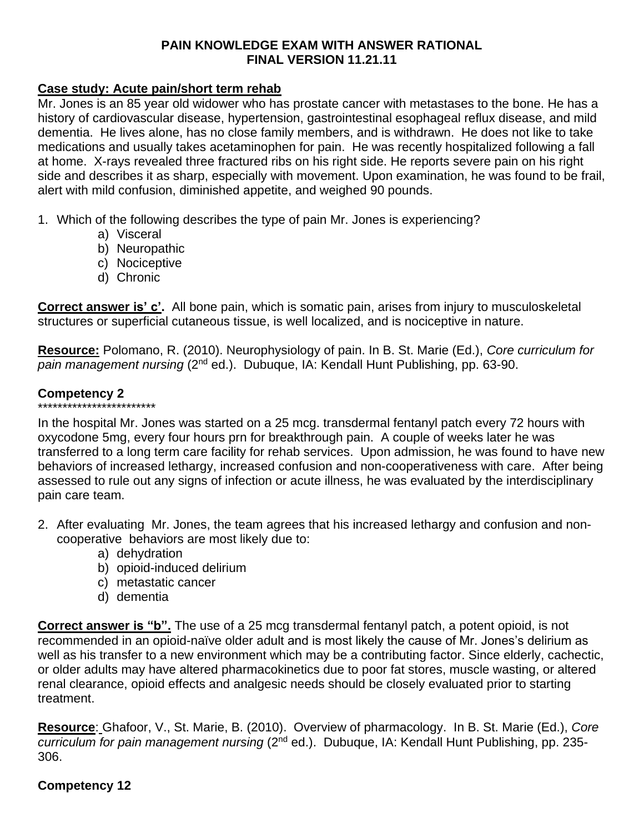### **PAIN KNOWLEDGE EXAM WITH ANSWER RATIONAL FINAL VERSION 11.21.11**

### **Case study: Acute pain/short term rehab**

Mr. Jones is an 85 year old widower who has prostate cancer with metastases to the bone. He has a history of cardiovascular disease, hypertension, gastrointestinal esophageal reflux disease, and mild dementia. He lives alone, has no close family members, and is withdrawn. He does not like to take medications and usually takes acetaminophen for pain. He was recently hospitalized following a fall at home. X-rays revealed three fractured ribs on his right side. He reports severe pain on his right side and describes it as sharp, especially with movement. Upon examination, he was found to be frail, alert with mild confusion, diminished appetite, and weighed 90 pounds.

1. Which of the following describes the type of pain Mr. Jones is experiencing?

- a) Visceral
- b) Neuropathic
- c) Nociceptive
- d) Chronic

**Correct answer is' c'.** All bone pain, which is somatic pain, arises from injury to musculoskeletal structures or superficial cutaneous tissue, is well localized, and is nociceptive in nature.

**Resource:** Polomano, R. (2010). Neurophysiology of pain. In B. St. Marie (Ed.), *Core curriculum for*  pain management nursing (2<sup>nd</sup> ed.). Dubuque, IA: Kendall Hunt Publishing, pp. 63-90.

# **Competency 2**

\*\*\*\*\*\*\*\*\*\*\*\*\*\*\*\*\*\*\*\*\*\*\*\* In the hospital Mr. Jones was started on a 25 mcg. transdermal fentanyl patch every 72 hours with oxycodone 5mg, every four hours prn for breakthrough pain. A couple of weeks later he was transferred to a long term care facility for rehab services. Upon admission, he was found to have new behaviors of increased lethargy, increased confusion and non-cooperativeness with care. After being assessed to rule out any signs of infection or acute illness, he was evaluated by the interdisciplinary pain care team.

- 2. After evaluating Mr. Jones, the team agrees that his increased lethargy and confusion and noncooperative behaviors are most likely due to:
	- a) dehydration
	- b) opioid-induced delirium
	- c) metastatic cancer
	- d) dementia

**Correct answer is "b".** The use of a 25 mcg transdermal fentanyl patch, a potent opioid, is not recommended in an opioid-naïve older adult and is most likely the cause of Mr. Jones's delirium as well as his transfer to a new environment which may be a contributing factor. Since elderly, cachectic, or older adults may have altered pharmacokinetics due to poor fat stores, muscle wasting, or altered renal clearance, opioid effects and analgesic needs should be closely evaluated prior to starting treatment.

**Resource**: Ghafoor, V., St. Marie, B. (2010). Overview of pharmacology. In B. St. Marie (Ed.), *Core*  curriculum for pain management nursing (2<sup>nd</sup> ed.). Dubuque, IA: Kendall Hunt Publishing, pp. 235-306.

# **Competency 12**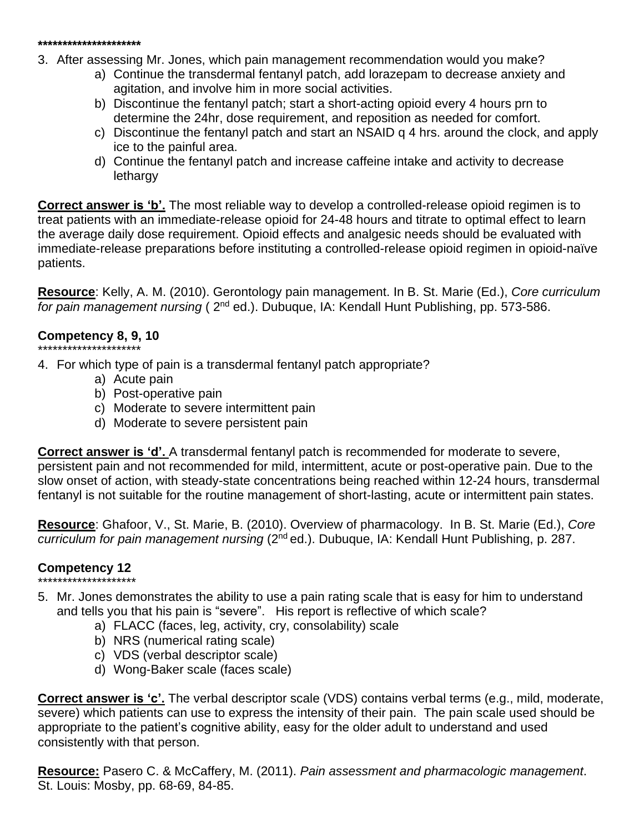#### **\*\*\*\*\*\*\*\*\*\*\*\*\*\*\*\*\*\*\*\*\***

3. After assessing Mr. Jones, which pain management recommendation would you make?

- a) Continue the transdermal fentanyl patch, add lorazepam to decrease anxiety and agitation, and involve him in more social activities.
- b) Discontinue the fentanyl patch; start a short-acting opioid every 4 hours prn to determine the 24hr, dose requirement, and reposition as needed for comfort.
- c) Discontinue the fentanyl patch and start an NSAID q 4 hrs. around the clock, and apply ice to the painful area.
- d) Continue the fentanyl patch and increase caffeine intake and activity to decrease lethargy

**Correct answer is 'b'.** The most reliable way to develop a controlled-release opioid regimen is to treat patients with an immediate-release opioid for 24-48 hours and titrate to optimal effect to learn the average daily dose requirement. Opioid effects and analgesic needs should be evaluated with immediate-release preparations before instituting a controlled-release opioid regimen in opioid-naïve patients.

**Resource**: Kelly, A. M. (2010). Gerontology pain management. In B. St. Marie (Ed.), *Core curriculum*  for pain management nursing (2<sup>nd</sup> ed.). Dubuque, IA: Kendall Hunt Publishing, pp. 573-586.

# **Competency 8, 9, 10**

- \*\*\*\*\*\*\*\*\*\*\*\*\*\*\*\*\*\*\*\*\*
- 4. For which type of pain is a transdermal fentanyl patch appropriate?
	- a) Acute pain
	- b) Post-operative pain
	- c) Moderate to severe intermittent pain
	- d) Moderate to severe persistent pain

**Correct answer is 'd'.** A transdermal fentanyl patch is recommended for moderate to severe, persistent pain and not recommended for mild, intermittent, acute or post-operative pain. Due to the slow onset of action, with steady-state concentrations being reached within 12-24 hours, transdermal fentanyl is not suitable for the routine management of short-lasting, acute or intermittent pain states.

**Resource**: Ghafoor, V., St. Marie, B. (2010). Overview of pharmacology. In B. St. Marie (Ed.), *Core*  curriculum for pain management nursing (2<sup>nd</sup> ed.). Dubuque, IA: Kendall Hunt Publishing, p. 287.

# **Competency 12**

- \*\*\*\*\*\*\*\*\*\*\*\*\*\*\*\*\*\*\*\* 5. Mr. Jones demonstrates the ability to use a pain rating scale that is easy for him to understand and tells you that his pain is "severe". His report is reflective of which scale?
	- a) FLACC (faces, leg, activity, cry, consolability) scale
	- b) NRS (numerical rating scale)
	- c) VDS (verbal descriptor scale)
	- d) Wong-Baker scale (faces scale)

**Correct answer is 'c'.** The verbal descriptor scale (VDS) contains verbal terms (e.g., mild, moderate, severe) which patients can use to express the intensity of their pain. The pain scale used should be appropriate to the patient's cognitive ability, easy for the older adult to understand and used consistently with that person.

**Resource:** Pasero C. & McCaffery, M. (2011). *Pain assessment and pharmacologic management*. St. Louis: Mosby, pp. 68-69, 84-85.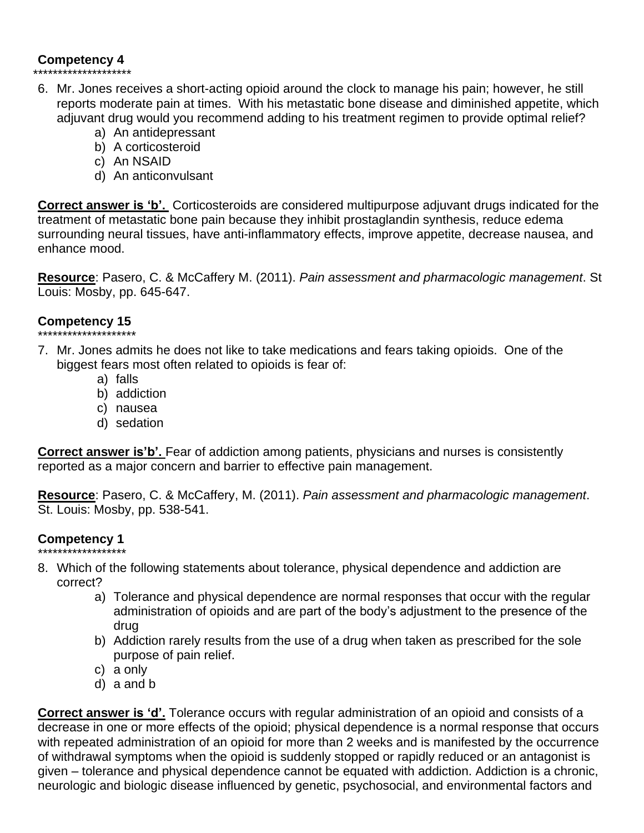# **Competency 4**

# \*\*\*\*\*\*\*\*\*\*\*\*\*\*\*\*\*\*\*\*

- 6. Mr. Jones receives a short-acting opioid around the clock to manage his pain; however, he still reports moderate pain at times. With his metastatic bone disease and diminished appetite, which adjuvant drug would you recommend adding to his treatment regimen to provide optimal relief?
	- a) An antidepressant
	- b) A corticosteroid
	- c) An NSAID
	- d) An anticonvulsant

**Correct answer is 'b'.** Corticosteroids are considered multipurpose adjuvant drugs indicated for the treatment of metastatic bone pain because they inhibit prostaglandin synthesis, reduce edema surrounding neural tissues, have anti-inflammatory effects, improve appetite, decrease nausea, and enhance mood.

**Resource**: Pasero, C. & McCaffery M. (2011). *Pain assessment and pharmacologic management*. St Louis: Mosby, pp. 645-647.

# **Competency 15**

- \*\*\*\*\*\*\*\*\*\*\*\*\*\*\*\*\*\*\*\*
- 7. Mr. Jones admits he does not like to take medications and fears taking opioids. One of the biggest fears most often related to opioids is fear of:
	- a) falls
	- b) addiction
	- c) nausea
	- d) sedation

**Correct answer is'b'.** Fear of addiction among patients, physicians and nurses is consistently reported as a major concern and barrier to effective pain management.

**Resource**: Pasero, C. & McCaffery, M. (2011). *Pain assessment and pharmacologic management*. St. Louis: Mosby, pp. 538-541.

# **Competency 1**

- \*\*\*\*\*\*\*\*\*\*\*\*\*\*\*\*\*\* 8. Which of the following statements about tolerance, physical dependence and addiction are correct?
	- a) Tolerance and physical dependence are normal responses that occur with the regular administration of opioids and are part of the body's adjustment to the presence of the drug
	- b) Addiction rarely results from the use of a drug when taken as prescribed for the sole purpose of pain relief.
	- c) a only
	- d) a and b

**Correct answer is 'd'.** Tolerance occurs with regular administration of an opioid and consists of a decrease in one or more effects of the opioid; physical dependence is a normal response that occurs with repeated administration of an opioid for more than 2 weeks and is manifested by the occurrence of withdrawal symptoms when the opioid is suddenly stopped or rapidly reduced or an antagonist is given – tolerance and physical dependence cannot be equated with addiction. Addiction is a chronic, neurologic and biologic disease influenced by genetic, psychosocial, and environmental factors and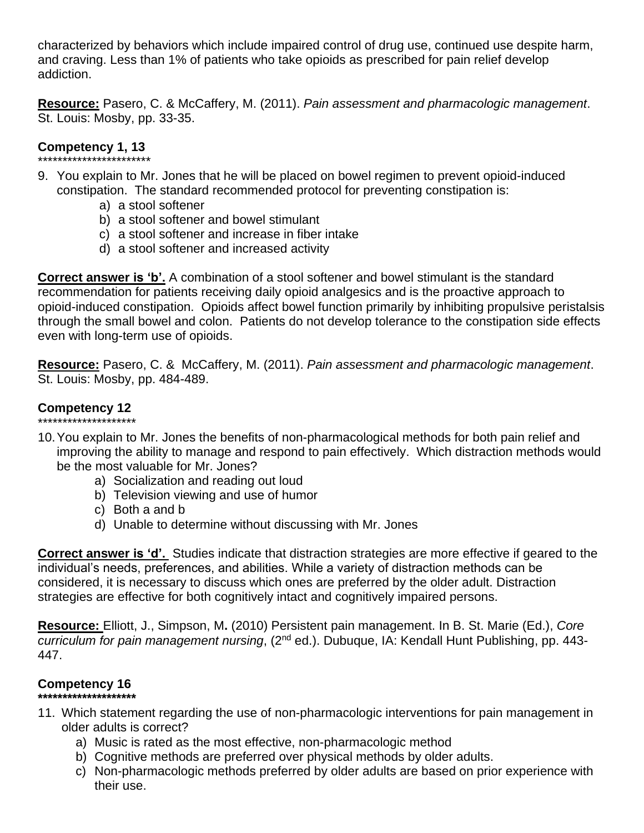characterized by behaviors which include impaired control of drug use, continued use despite harm, and craving. Less than 1% of patients who take opioids as prescribed for pain relief develop addiction.

**Resource:** Pasero, C. & McCaffery, M. (2011). *Pain assessment and pharmacologic management*. St. Louis: Mosby, pp. 33-35.

### **Competency 1, 13** \*\*\*\*\*\*\*\*\*\*\*\*\*\*\*\*\*\*\*\*\*\*\*

- 9. You explain to Mr. Jones that he will be placed on bowel regimen to prevent opioid-induced constipation. The standard recommended protocol for preventing constipation is:
	- a) a stool softener
	- b) a stool softener and bowel stimulant
	- c) a stool softener and increase in fiber intake
	- d) a stool softener and increased activity

**Correct answer is 'b'.** A combination of a stool softener and bowel stimulant is the standard recommendation for patients receiving daily opioid analgesics and is the proactive approach to opioid-induced constipation. Opioids affect bowel function primarily by inhibiting propulsive peristalsis through the small bowel and colon. Patients do not develop tolerance to the constipation side effects even with long-term use of opioids.

**Resource:** Pasero, C. & McCaffery, M. (2011). *Pain assessment and pharmacologic management*. St. Louis: Mosby, pp. 484-489.

# **Competency 12**

- \*\*\*\*\*\*\*\*\*\*\*\*\*\*\*\*\*\*\*\* 10.You explain to Mr. Jones the benefits of non-pharmacological methods for both pain relief and improving the ability to manage and respond to pain effectively. Which distraction methods would be the most valuable for Mr. Jones?
	- a) Socialization and reading out loud
	- b) Television viewing and use of humor
	- c) Both a and b
	- d) Unable to determine without discussing with Mr. Jones

**Correct answer is 'd'.** Studies indicate that distraction strategies are more effective if geared to the individual's needs, preferences, and abilities. While a variety of distraction methods can be considered, it is necessary to discuss which ones are preferred by the older adult. Distraction strategies are effective for both cognitively intact and cognitively impaired persons.

**Resource:** Elliott, J., Simpson, M**.** (2010) Persistent pain management. In B. St. Marie (Ed.), *Core*  curriculum for pain management nursing, (2<sup>nd</sup> ed.). Dubuque, IA: Kendall Hunt Publishing, pp. 443-447.

# **Competency 16**

### **\*\*\*\*\*\*\*\*\*\*\*\*\*\*\*\*\*\*\*\***

- 11. Which statement regarding the use of non-pharmacologic interventions for pain management in older adults is correct?
	- a) Music is rated as the most effective, non-pharmacologic method
	- b) Cognitive methods are preferred over physical methods by older adults.
	- c) Non-pharmacologic methods preferred by older adults are based on prior experience with their use.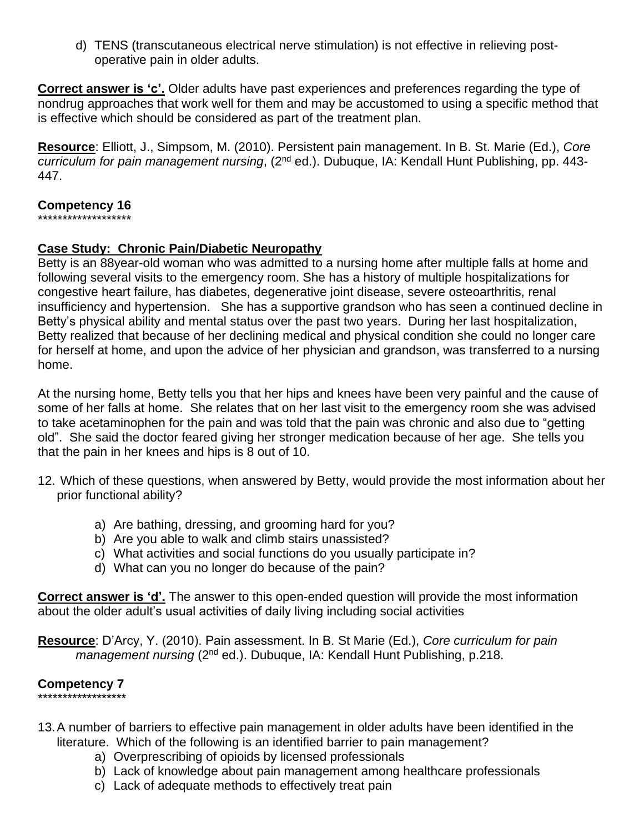d) TENS (transcutaneous electrical nerve stimulation) is not effective in relieving postoperative pain in older adults.

**Correct answer is 'c'.** Older adults have past experiences and preferences regarding the type of nondrug approaches that work well for them and may be accustomed to using a specific method that is effective which should be considered as part of the treatment plan.

**Resource**: Elliott, J., Simpsom, M. (2010). Persistent pain management. In B. St. Marie (Ed.), *Core*  curriculum for pain management nursing, (2<sup>nd</sup> ed.). Dubuque, IA: Kendall Hunt Publishing, pp. 443-447.

### **Competency 16**

\*\*\*\*\*\*\*\*\*\*\*\*\*\*\*\*\*\*\*

### **Case Study: Chronic Pain/Diabetic Neuropathy**

Betty is an 88year-old woman who was admitted to a nursing home after multiple falls at home and following several visits to the emergency room. She has a history of multiple hospitalizations for congestive heart failure, has diabetes, degenerative joint disease, severe osteoarthritis, renal insufficiency and hypertension. She has a supportive grandson who has seen a continued decline in Betty's physical ability and mental status over the past two years. During her last hospitalization, Betty realized that because of her declining medical and physical condition she could no longer care for herself at home, and upon the advice of her physician and grandson, was transferred to a nursing home.

At the nursing home, Betty tells you that her hips and knees have been very painful and the cause of some of her falls at home. She relates that on her last visit to the emergency room she was advised to take acetaminophen for the pain and was told that the pain was chronic and also due to "getting old". She said the doctor feared giving her stronger medication because of her age. She tells you that the pain in her knees and hips is 8 out of 10.

- 12. Which of these questions, when answered by Betty, would provide the most information about her prior functional ability?
	- a) Are bathing, dressing, and grooming hard for you?
	- b) Are you able to walk and climb stairs unassisted?
	- c) What activities and social functions do you usually participate in?
	- d) What can you no longer do because of the pain?

**Correct answer is 'd'.** The answer to this open-ended question will provide the most information about the older adult's usual activities of daily living including social activities

**Resource**: D'Arcy, Y. (2010). Pain assessment. In B. St Marie (Ed.), *Core curriculum for pain*  management nursing (2<sup>nd</sup> ed.). Dubuque, IA: Kendall Hunt Publishing, p.218.

#### **Competency 7** \*\*\*\*\*\*\*\*\*\*\*\*\*\*\*\*\*\*

- 13.A number of barriers to effective pain management in older adults have been identified in the literature. Which of the following is an identified barrier to pain management?
	- a) Overprescribing of opioids by licensed professionals
	- b) Lack of knowledge about pain management among healthcare professionals
	- c) Lack of adequate methods to effectively treat pain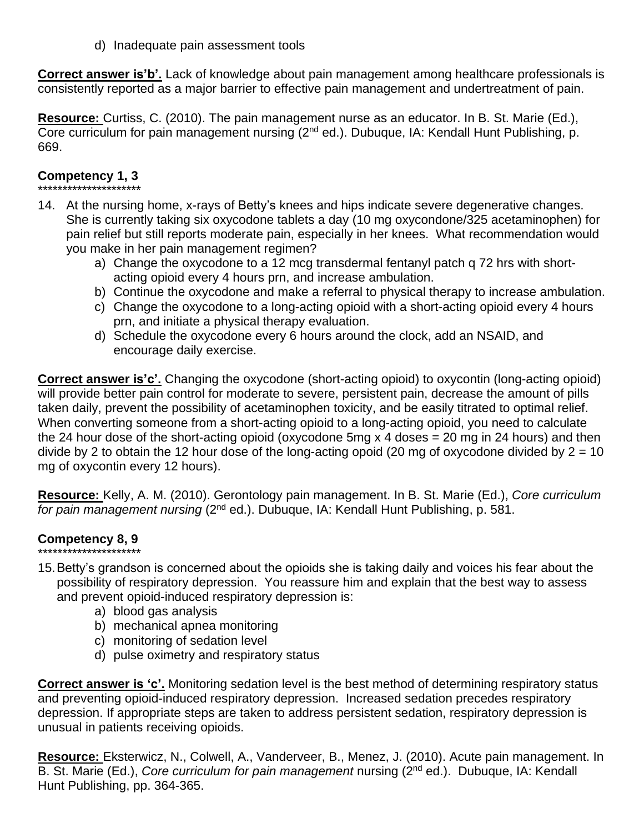d) Inadequate pain assessment tools

**Correct answer is'b'.** Lack of knowledge about pain management among healthcare professionals is consistently reported as a major barrier to effective pain management and undertreatment of pain.

**Resource:** Curtiss, C. (2010). The pain management nurse as an educator. In B. St. Marie (Ed.), Core curriculum for pain management nursing (2<sup>nd</sup> ed.). Dubuque, IA: Kendall Hunt Publishing, p. 669.

#### **Competency 1, 3** \*\*\*\*\*\*\*\*\*\*\*\*\*\*\*\*\*\*\*\*\*

- 14. At the nursing home, x-rays of Betty's knees and hips indicate severe degenerative changes. She is currently taking six oxycodone tablets a day (10 mg oxycondone/325 acetaminophen) for pain relief but still reports moderate pain, especially in her knees. What recommendation would you make in her pain management regimen?
	- a) Change the oxycodone to a 12 mcg transdermal fentanyl patch q 72 hrs with shortacting opioid every 4 hours prn, and increase ambulation.
	- b) Continue the oxycodone and make a referral to physical therapy to increase ambulation.
	- c) Change the oxycodone to a long-acting opioid with a short-acting opioid every 4 hours prn, and initiate a physical therapy evaluation.
	- d) Schedule the oxycodone every 6 hours around the clock, add an NSAID, and encourage daily exercise.

**Correct answer is'c'.** Changing the oxycodone (short-acting opioid) to oxycontin (long-acting opioid) will provide better pain control for moderate to severe, persistent pain, decrease the amount of pills taken daily, prevent the possibility of acetaminophen toxicity, and be easily titrated to optimal relief. When converting someone from a short-acting opioid to a long-acting opioid, you need to calculate the 24 hour dose of the short-acting opioid (oxycodone 5mg x 4 doses = 20 mg in 24 hours) and then divide by 2 to obtain the 12 hour dose of the long-acting opoid (20 mg of oxycodone divided by  $2 = 10$ ) mg of oxycontin every 12 hours).

**Resource:** Kelly, A. M. (2010). Gerontology pain management. In B. St. Marie (Ed.), *Core curriculum*  for pain management nursing (2<sup>nd</sup> ed.). Dubuque, IA: Kendall Hunt Publishing, p. 581.

#### **Competency 8, 9** \*\*\*\*\*\*\*\*\*\*\*\*\*\*\*\*\*\*\*\*\*

- 15.Betty's grandson is concerned about the opioids she is taking daily and voices his fear about the possibility of respiratory depression. You reassure him and explain that the best way to assess and prevent opioid-induced respiratory depression is:
	- a) blood gas analysis
	- b) mechanical apnea monitoring
	- c) monitoring of sedation level
	- d) pulse oximetry and respiratory status

**Correct answer is 'c'.** Monitoring sedation level is the best method of determining respiratory status and preventing opioid-induced respiratory depression. Increased sedation precedes respiratory depression. If appropriate steps are taken to address persistent sedation, respiratory depression is unusual in patients receiving opioids.

**Resource:** Eksterwicz, N., Colwell, A., Vanderveer, B., Menez, J. (2010). Acute pain management. In B. St. Marie (Ed.), *Core curriculum for pain management* nursing (2<sup>nd</sup> ed.). Dubuque, IA: Kendall Hunt Publishing, pp. 364-365.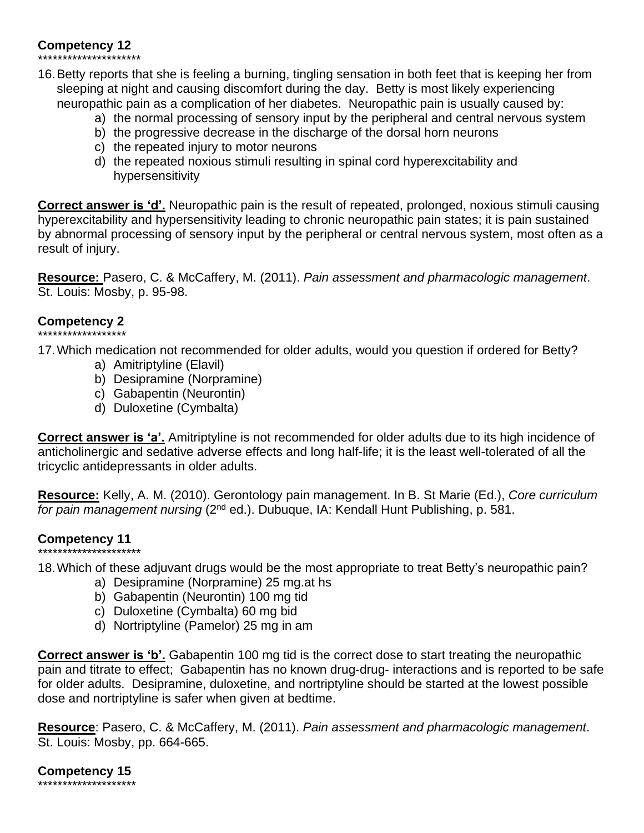# **Competency 12**

\*\*\*\*\*\*\*\*\*\*\*\*\*\*\*\*\*\*\*\*\*

- 16.Betty reports that she is feeling a burning, tingling sensation in both feet that is keeping her from sleeping at night and causing discomfort during the day. Betty is most likely experiencing neuropathic pain as a complication of her diabetes. Neuropathic pain is usually caused by:
	- a) the normal processing of sensory input by the peripheral and central nervous system
	- b) the progressive decrease in the discharge of the dorsal horn neurons
	- c) the repeated injury to motor neurons
	- d) the repeated noxious stimuli resulting in spinal cord hyperexcitability and hypersensitivity

**Correct answer is 'd'.** Neuropathic pain is the result of repeated, prolonged, noxious stimuli causing hyperexcitability and hypersensitivity leading to chronic neuropathic pain states; it is pain sustained by abnormal processing of sensory input by the peripheral or central nervous system, most often as a result of injury.

**Resource:** Pasero, C. & McCaffery, M. (2011). *Pain assessment and pharmacologic management*. St. Louis: Mosby, p. 95-98.

# **Competency 2**

\*\*\*\*\*\*\*\*\*\*\*\*\*\*\*\*\*\* 17.Which medication not recommended for older adults, would you question if ordered for Betty?

- a) Amitriptyline (Elavil)
- b) Desipramine (Norpramine)
- c) Gabapentin (Neurontin)
- d) Duloxetine (Cymbalta)

**Correct answer is 'a'.** Amitriptyline is not recommended for older adults due to its high incidence of anticholinergic and sedative adverse effects and long half-life; it is the least well-tolerated of all the tricyclic antidepressants in older adults.

**Resource:** Kelly, A. M. (2010). Gerontology pain management. In B. St Marie (Ed.), *Core curriculum* for pain management nursing (2<sup>nd</sup> ed.). Dubuque, IA: Kendall Hunt Publishing, p. 581.

# **Competency 11**

\*\*\*\*\*\*\*\*\*\*\*\*\*\*\*\*\*\*\*\*\* 18.Which of these adjuvant drugs would be the most appropriate to treat Betty's neuropathic pain?

- a) Desipramine (Norpramine) 25 mg.at hs
- b) Gabapentin (Neurontin) 100 mg tid
- c) Duloxetine (Cymbalta) 60 mg bid
- d) Nortriptyline (Pamelor) 25 mg in am

**Correct answer is 'b'.** Gabapentin 100 mg tid is the correct dose to start treating the neuropathic pain and titrate to effect; Gabapentin has no known drug-drug- interactions and is reported to be safe for older adults. Desipramine, duloxetine, and nortriptyline should be started at the lowest possible dose and nortriptyline is safer when given at bedtime.

**Resource**: Pasero, C. & McCaffery, M. (2011). *Pain assessment and pharmacologic management*. St. Louis: Mosby, pp. 664-665.

**Competency 15** \*\*\*\*\*\*\*\*\*\*\*\*\*\*\*\*\*\*\*\*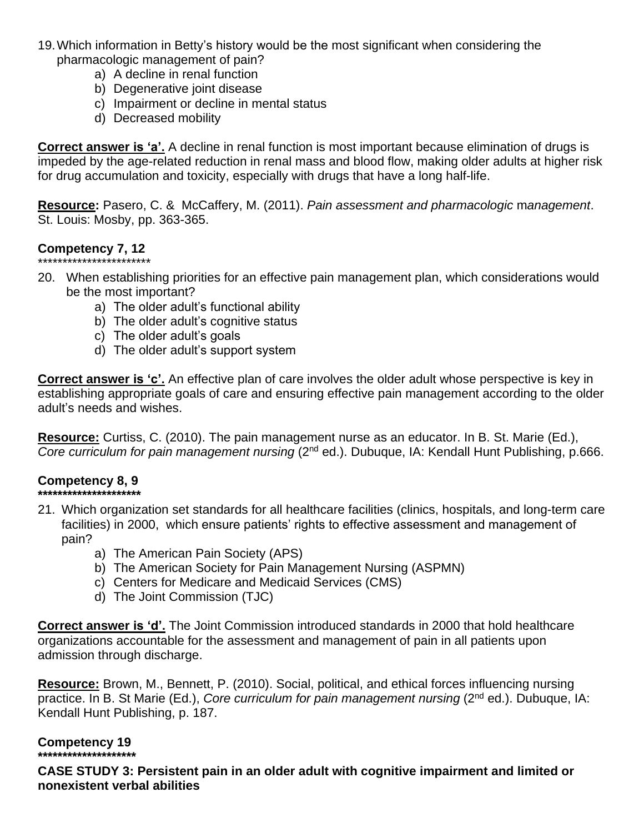- 19.Which information in Betty's history would be the most significant when considering the pharmacologic management of pain?
	- a) A decline in renal function
	- b) Degenerative joint disease
	- c) Impairment or decline in mental status
	- d) Decreased mobility

**Correct answer is 'a'.** A decline in renal function is most important because elimination of drugs is impeded by the age-related reduction in renal mass and blood flow, making older adults at higher risk for drug accumulation and toxicity, especially with drugs that have a long half-life.

**Resource:** Pasero, C. & McCaffery, M. (2011). *Pain assessment and pharmacologic* m*anagement*. St. Louis: Mosby, pp. 363-365.

# **Competency 7, 12**

- \*\*\*\*\*\*\*\*\*\*\*\*\*\*\*\*\*\*\*\*\*\*\* 20. When establishing priorities for an effective pain management plan, which considerations would be the most important?
	- a) The older adult's functional ability
	- b) The older adult's cognitive status
	- c) The older adult's goals
	- d) The older adult's support system

**Correct answer is 'c'.** An effective plan of care involves the older adult whose perspective is key in establishing appropriate goals of care and ensuring effective pain management according to the older adult's needs and wishes.

**Resource:** Curtiss, C. (2010). The pain management nurse as an educator. In B. St. Marie (Ed.), *Core curriculum for pain management nursing* (2nd ed.). Dubuque, IA: Kendall Hunt Publishing, p.666.

#### **Competency 8, 9 \*\*\*\*\*\*\*\*\*\*\*\*\*\*\*\*\*\*\*\*\***

- 21. Which organization set standards for all healthcare facilities (clinics, hospitals, and long-term care facilities) in 2000, which ensure patients' rights to effective assessment and management of pain?
	- a) The American Pain Society (APS)
	- b) The American Society for Pain Management Nursing (ASPMN)
	- c) Centers for Medicare and Medicaid Services (CMS)
	- d) The Joint Commission (TJC)

**Correct answer is 'd'.** The Joint Commission introduced standards in 2000 that hold healthcare organizations accountable for the assessment and management of pain in all patients upon admission through discharge.

**Resource:** Brown, M., Bennett, P. (2010). Social, political, and ethical forces influencing nursing practice. In B. St Marie (Ed.), *Core curriculum for pain management nursing* (2<sup>nd</sup> ed.). Dubuque, IA: Kendall Hunt Publishing, p. 187.

### **Competency 19**

**\*\*\*\*\*\*\*\*\*\*\*\*\*\*\*\*\*\*\*\***

**CASE STUDY 3: Persistent pain in an older adult with cognitive impairment and limited or nonexistent verbal abilities**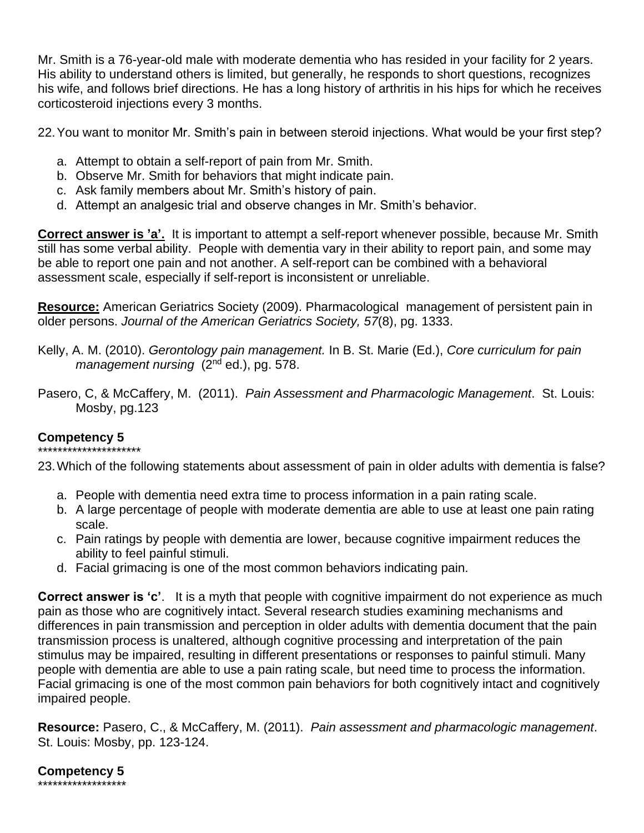Mr. Smith is a 76-year-old male with moderate dementia who has resided in your facility for 2 years. His ability to understand others is limited, but generally, he responds to short questions, recognizes his wife, and follows brief directions. He has a long history of arthritis in his hips for which he receives corticosteroid injections every 3 months.

22.You want to monitor Mr. Smith's pain in between steroid injections. What would be your first step?

- a. Attempt to obtain a self-report of pain from Mr. Smith.
- b. Observe Mr. Smith for behaviors that might indicate pain.
- c. Ask family members about Mr. Smith's history of pain.
- d. Attempt an analgesic trial and observe changes in Mr. Smith's behavior.

**Correct answer is 'a'.** It is important to attempt a self-report whenever possible, because Mr. Smith still has some verbal ability. People with dementia vary in their ability to report pain, and some may be able to report one pain and not another. A self-report can be combined with a behavioral assessment scale, especially if self-report is inconsistent or unreliable.

**Resource:** American Geriatrics Society (2009). Pharmacological management of persistent pain in older persons. *Journal of the American Geriatrics Society, 57*(8), pg. 1333.

Kelly, A. M. (2010). *Gerontology pain management.* In B. St. Marie (Ed.), *Core curriculum for pain management nursing* (2nd ed.), pg. 578.

Pasero, C, & McCaffery, M. (2011). *Pain Assessment and Pharmacologic Management*. St. Louis: Mosby, pg.123

### **Competency 5** \*\*\*\*\*\*\*\*\*\*\*\*\*\*\*\*\*\*\*\*\*

23.Which of the following statements about assessment of pain in older adults with dementia is false?

- a. People with dementia need extra time to process information in a pain rating scale.
- b. A large percentage of people with moderate dementia are able to use at least one pain rating scale.
- c. Pain ratings by people with dementia are lower, because cognitive impairment reduces the ability to feel painful stimuli.
- d. Facial grimacing is one of the most common behaviors indicating pain.

**Correct answer is 'c'**. It is a myth that people with cognitive impairment do not experience as much pain as those who are cognitively intact. Several research studies examining mechanisms and differences in pain transmission and perception in older adults with dementia document that the pain transmission process is unaltered, although cognitive processing and interpretation of the pain stimulus may be impaired, resulting in different presentations or responses to painful stimuli. Many people with dementia are able to use a pain rating scale, but need time to process the information. Facial grimacing is one of the most common pain behaviors for both cognitively intact and cognitively impaired people.

**Resource:** Pasero, C., & McCaffery, M. (2011). *Pain assessment and pharmacologic management*. St. Louis: Mosby, pp. 123-124.

**Competency 5** \*\*\*\*\*\*\*\*\*\*\*\*\*\*\*\*\*\*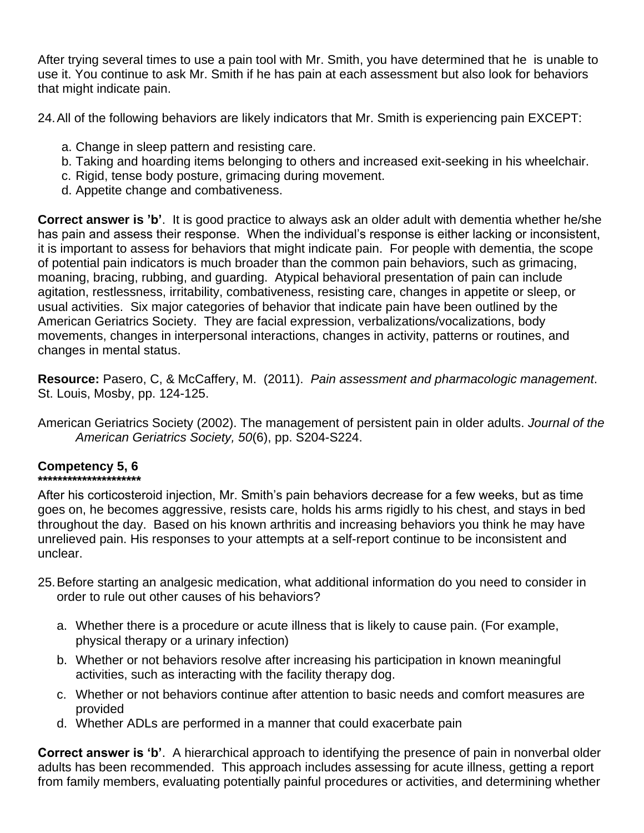After trying several times to use a pain tool with Mr. Smith, you have determined that he is unable to use it. You continue to ask Mr. Smith if he has pain at each assessment but also look for behaviors that might indicate pain.

24.All of the following behaviors are likely indicators that Mr. Smith is experiencing pain EXCEPT:

- a. Change in sleep pattern and resisting care.
- b. Taking and hoarding items belonging to others and increased exit-seeking in his wheelchair.
- c. Rigid, tense body posture, grimacing during movement.
- d. Appetite change and combativeness.

**Correct answer is 'b'**. It is good practice to always ask an older adult with dementia whether he/she has pain and assess their response. When the individual's response is either lacking or inconsistent, it is important to assess for behaviors that might indicate pain. For people with dementia, the scope of potential pain indicators is much broader than the common pain behaviors, such as grimacing, moaning, bracing, rubbing, and guarding. Atypical behavioral presentation of pain can include agitation, restlessness, irritability, combativeness, resisting care, changes in appetite or sleep, or usual activities. Six major categories of behavior that indicate pain have been outlined by the American Geriatrics Society. They are facial expression, verbalizations/vocalizations, body movements, changes in interpersonal interactions, changes in activity, patterns or routines, and changes in mental status.

**Resource:** Pasero, C, & McCaffery, M. (2011). *Pain assessment and pharmacologic management*. St. Louis, Mosby, pp. 124-125.

American Geriatrics Society (2002). The management of persistent pain in older adults. *Journal of the American Geriatrics Society, 50*(6), pp. S204-S224.

#### **Competency 5, 6 \*\*\*\*\*\*\*\*\*\*\*\*\*\*\*\*\*\*\*\*\***

After his corticosteroid injection, Mr. Smith's pain behaviors decrease for a few weeks, but as time goes on, he becomes aggressive, resists care, holds his arms rigidly to his chest, and stays in bed throughout the day. Based on his known arthritis and increasing behaviors you think he may have unrelieved pain. His responses to your attempts at a self-report continue to be inconsistent and unclear.

- 25.Before starting an analgesic medication, what additional information do you need to consider in order to rule out other causes of his behaviors?
	- a. Whether there is a procedure or acute illness that is likely to cause pain. (For example, physical therapy or a urinary infection)
	- b. Whether or not behaviors resolve after increasing his participation in known meaningful activities, such as interacting with the facility therapy dog.
	- c. Whether or not behaviors continue after attention to basic needs and comfort measures are provided
	- d. Whether ADLs are performed in a manner that could exacerbate pain

**Correct answer is 'b'**. A hierarchical approach to identifying the presence of pain in nonverbal older adults has been recommended. This approach includes assessing for acute illness, getting a report from family members, evaluating potentially painful procedures or activities, and determining whether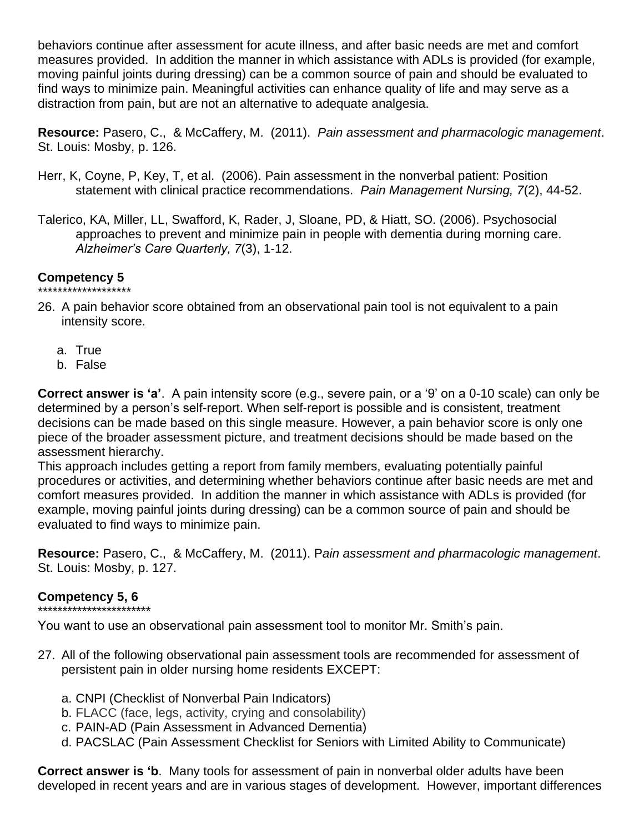behaviors continue after assessment for acute illness, and after basic needs are met and comfort measures provided. In addition the manner in which assistance with ADLs is provided (for example, moving painful joints during dressing) can be a common source of pain and should be evaluated to find ways to minimize pain. Meaningful activities can enhance quality of life and may serve as a distraction from pain, but are not an alternative to adequate analgesia.

**Resource:** Pasero, C., & McCaffery, M. (2011). *Pain assessment and pharmacologic management*. St. Louis: Mosby, p. 126.

- Herr, K, Coyne, P, Key, T, et al. (2006). Pain assessment in the nonverbal patient: Position statement with clinical practice recommendations. *Pain Management Nursing, 7*(2), 44-52.
- Talerico, KA, Miller, LL, Swafford, K, Rader, J, Sloane, PD, & Hiatt, SO. (2006). Psychosocial approaches to prevent and minimize pain in people with dementia during morning care. *Alzheimer's Care Quarterly, 7*(3), 1-12.

#### **Competency 5** \*\*\*\*\*\*\*\*\*\*\*\*\*\*\*\*\*\*\*

- 26. A pain behavior score obtained from an observational pain tool is not equivalent to a pain intensity score.
	- a. True
	- b. False

**Correct answer is 'a'**. A pain intensity score (e.g., severe pain, or a '9' on a 0-10 scale) can only be determined by a person's self-report. When self-report is possible and is consistent, treatment decisions can be made based on this single measure. However, a pain behavior score is only one piece of the broader assessment picture, and treatment decisions should be made based on the assessment hierarchy.

This approach includes getting a report from family members, evaluating potentially painful procedures or activities, and determining whether behaviors continue after basic needs are met and comfort measures provided. In addition the manner in which assistance with ADLs is provided (for example, moving painful joints during dressing) can be a common source of pain and should be evaluated to find ways to minimize pain.

**Resource:** Pasero, C., & McCaffery, M. (2011). P*ain assessment and pharmacologic management*. St. Louis: Mosby, p. 127.

# **Competency 5, 6**

\*\*\*\*\*\*\*\*\*\*\*\*\*\*\*\*\*\*\*\*\*\*\*

You want to use an observational pain assessment tool to monitor Mr. Smith's pain.

- 27. All of the following observational pain assessment tools are recommended for assessment of persistent pain in older nursing home residents EXCEPT:
	- a. CNPI (Checklist of Nonverbal Pain Indicators)
	- b. FLACC (face, legs, activity, crying and consolability)
	- c. PAIN-AD (Pain Assessment in Advanced Dementia)
	- d. PACSLAC (Pain Assessment Checklist for Seniors with Limited Ability to Communicate)

**Correct answer is 'b**. Many tools for assessment of pain in nonverbal older adults have been developed in recent years and are in various stages of development. However, important differences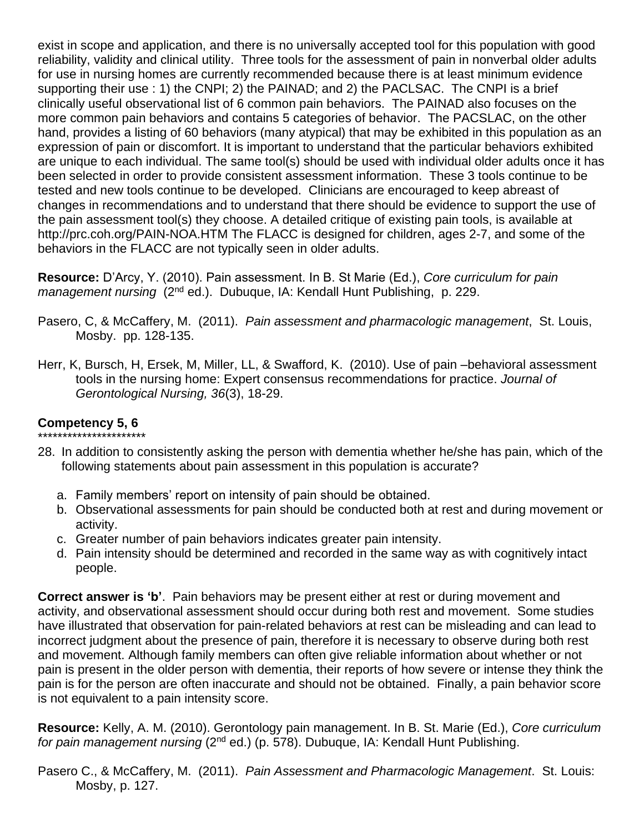exist in scope and application, and there is no universally accepted tool for this population with good reliability, validity and clinical utility. Three tools for the assessment of pain in nonverbal older adults for use in nursing homes are currently recommended because there is at least minimum evidence supporting their use : 1) the CNPI; 2) the PAINAD; and 2) the PACLSAC. The CNPI is a brief clinically useful observational list of 6 common pain behaviors. The PAINAD also focuses on the more common pain behaviors and contains 5 categories of behavior. The PACSLAC, on the other hand, provides a listing of 60 behaviors (many atypical) that may be exhibited in this population as an expression of pain or discomfort. It is important to understand that the particular behaviors exhibited are unique to each individual. The same tool(s) should be used with individual older adults once it has been selected in order to provide consistent assessment information. These 3 tools continue to be tested and new tools continue to be developed. Clinicians are encouraged to keep abreast of changes in recommendations and to understand that there should be evidence to support the use of the pain assessment tool(s) they choose. A detailed critique of existing pain tools, is available at http://prc.coh.org/PAIN-NOA.HTM The FLACC is designed for children, ages 2-7, and some of the behaviors in the FLACC are not typically seen in older adults.

**Resource:** D'Arcy, Y. (2010). Pain assessment. In B. St Marie (Ed.), *Core curriculum for pain management nursing* (2<sup>nd</sup> ed.). Dubuque, IA: Kendall Hunt Publishing, p. 229.

- Pasero, C, & McCaffery, M. (2011). *Pain assessment and pharmacologic management*, St. Louis, Mosby. pp. 128-135.
- Herr, K, Bursch, H, Ersek, M, Miller, LL, & Swafford, K. (2010). Use of pain –behavioral assessment tools in the nursing home: Expert consensus recommendations for practice. *Journal of Gerontological Nursing, 36*(3), 18-29.

# **Competency 5, 6**

- \*\*\*\*\*\*\*\*\*\*\*\*\*\*\*\*\*\*\*\*\*\* 28. In addition to consistently asking the person with dementia whether he/she has pain, which of the following statements about pain assessment in this population is accurate?
	- a. Family members' report on intensity of pain should be obtained.
	- b. Observational assessments for pain should be conducted both at rest and during movement or activity.
	- c. Greater number of pain behaviors indicates greater pain intensity.
	- d. Pain intensity should be determined and recorded in the same way as with cognitively intact people.

**Correct answer is 'b'**. Pain behaviors may be present either at rest or during movement and activity, and observational assessment should occur during both rest and movement. Some studies have illustrated that observation for pain-related behaviors at rest can be misleading and can lead to incorrect judgment about the presence of pain, therefore it is necessary to observe during both rest and movement. Although family members can often give reliable information about whether or not pain is present in the older person with dementia, their reports of how severe or intense they think the pain is for the person are often inaccurate and should not be obtained. Finally, a pain behavior score is not equivalent to a pain intensity score.

**Resource:** Kelly, A. M. (2010). Gerontology pain management. In B. St. Marie (Ed.), *Core curriculum for pain management nursing* (2nd ed.) (p. 578). Dubuque, IA: Kendall Hunt Publishing.

Pasero C., & McCaffery, M. (2011). *Pain Assessment and Pharmacologic Management*. St. Louis: Mosby, p. 127.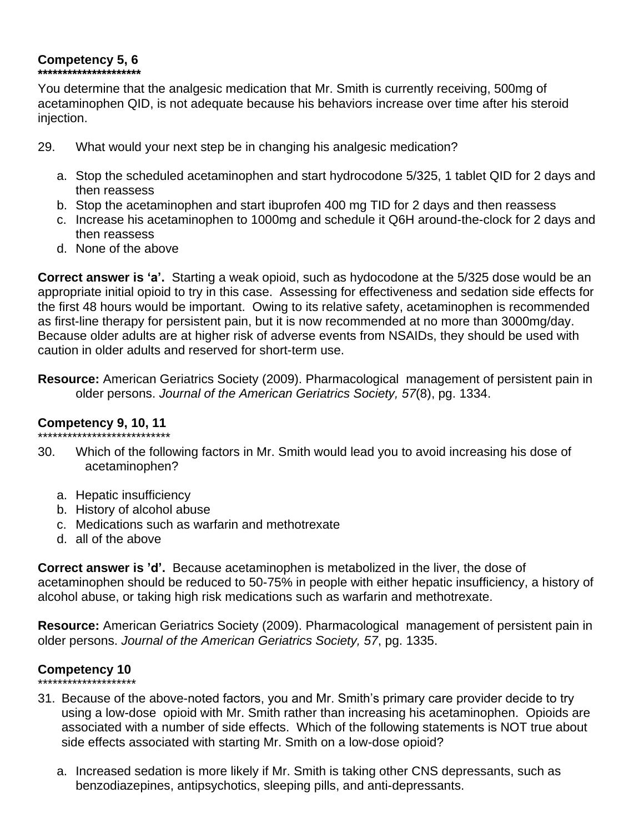# **Competency 5, 6**

**\*\*\*\*\*\*\*\*\*\*\*\*\*\*\*\*\*\*\*\*\***

You determine that the analgesic medication that Mr. Smith is currently receiving, 500mg of acetaminophen QID, is not adequate because his behaviors increase over time after his steroid injection.

- 29. What would your next step be in changing his analgesic medication?
	- a. Stop the scheduled acetaminophen and start hydrocodone 5/325, 1 tablet QID for 2 days and then reassess
	- b. Stop the acetaminophen and start ibuprofen 400 mg TID for 2 days and then reassess
	- c. Increase his acetaminophen to 1000mg and schedule it Q6H around-the-clock for 2 days and then reassess
	- d. None of the above

**Correct answer is 'a'.** Starting a weak opioid, such as hydocodone at the 5/325 dose would be an appropriate initial opioid to try in this case. Assessing for effectiveness and sedation side effects for the first 48 hours would be important. Owing to its relative safety, acetaminophen is recommended as first-line therapy for persistent pain, but it is now recommended at no more than 3000mg/day. Because older adults are at higher risk of adverse events from NSAIDs, they should be used with caution in older adults and reserved for short-term use.

**Resource:** American Geriatrics Society (2009). Pharmacological management of persistent pain in older persons. *Journal of the American Geriatrics Society, 57*(8), pg. 1334.

# **Competency 9, 10, 11**

- \*\*\*\*\*\*\*\*\*\*\*\*\*\*\*\*\*\*\*\*\*\*\*\*\*\*\* 30. Which of the following factors in Mr. Smith would lead you to avoid increasing his dose of acetaminophen?
	- a. Hepatic insufficiency
	- b. History of alcohol abuse
	- c. Medications such as warfarin and methotrexate
	- d. all of the above

**Correct answer is 'd'.** Because acetaminophen is metabolized in the liver, the dose of acetaminophen should be reduced to 50-75% in people with either hepatic insufficiency, a history of alcohol abuse, or taking high risk medications such as warfarin and methotrexate.

**Resource:** American Geriatrics Society (2009). Pharmacological management of persistent pain in older persons. *Journal of the American Geriatrics Society, 57*, pg. 1335.

# **Competency 10**

\*\*\*\*\*\*\*\*\*\*\*\*\*\*\*\*\*\*\*\*

- 31. Because of the above-noted factors, you and Mr. Smith's primary care provider decide to try using a low-dose opioid with Mr. Smith rather than increasing his acetaminophen. Opioids are associated with a number of side effects. Which of the following statements is NOT true about side effects associated with starting Mr. Smith on a low-dose opioid?
	- a. Increased sedation is more likely if Mr. Smith is taking other CNS depressants, such as benzodiazepines, antipsychotics, sleeping pills, and anti-depressants.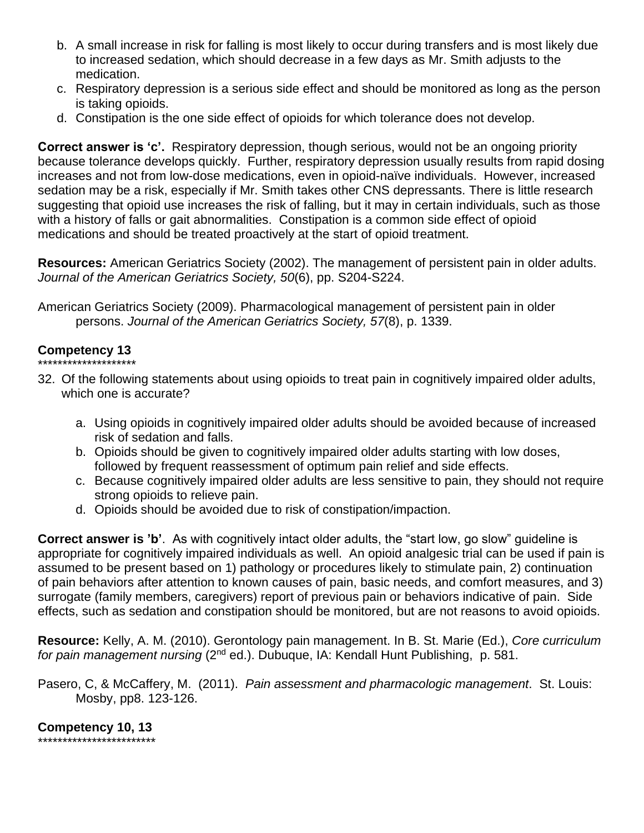- b. A small increase in risk for falling is most likely to occur during transfers and is most likely due to increased sedation, which should decrease in a few days as Mr. Smith adjusts to the medication.
- c. Respiratory depression is a serious side effect and should be monitored as long as the person is taking opioids.
- d. Constipation is the one side effect of opioids for which tolerance does not develop.

**Correct answer is 'c'.** Respiratory depression, though serious, would not be an ongoing priority because tolerance develops quickly. Further, respiratory depression usually results from rapid dosing increases and not from low-dose medications, even in opioid-naïve individuals. However, increased sedation may be a risk, especially if Mr. Smith takes other CNS depressants. There is little research suggesting that opioid use increases the risk of falling, but it may in certain individuals, such as those with a history of falls or gait abnormalities. Constipation is a common side effect of opioid medications and should be treated proactively at the start of opioid treatment.

**Resources:** American Geriatrics Society (2002). The management of persistent pain in older adults. *Journal of the American Geriatrics Society, 50*(6), pp. S204-S224.

American Geriatrics Society (2009). Pharmacological management of persistent pain in older persons. *Journal of the American Geriatrics Society, 57*(8), p. 1339.

#### **Competency 13** \*\*\*\*\*\*\*\*\*\*\*\*\*\*\*\*\*\*\*\*

- 32. Of the following statements about using opioids to treat pain in cognitively impaired older adults, which one is accurate?
	- a. Using opioids in cognitively impaired older adults should be avoided because of increased risk of sedation and falls.
	- b. Opioids should be given to cognitively impaired older adults starting with low doses, followed by frequent reassessment of optimum pain relief and side effects.
	- c. Because cognitively impaired older adults are less sensitive to pain, they should not require strong opioids to relieve pain.
	- d. Opioids should be avoided due to risk of constipation/impaction.

**Correct answer is 'b'**. As with cognitively intact older adults, the "start low, go slow" guideline is appropriate for cognitively impaired individuals as well. An opioid analgesic trial can be used if pain is assumed to be present based on 1) pathology or procedures likely to stimulate pain, 2) continuation of pain behaviors after attention to known causes of pain, basic needs, and comfort measures, and 3) surrogate (family members, caregivers) report of previous pain or behaviors indicative of pain. Side effects, such as sedation and constipation should be monitored, but are not reasons to avoid opioids.

**Resource:** Kelly, A. M. (2010). Gerontology pain management. In B. St. Marie (Ed.), *Core curriculum for pain management nursing* (2nd ed.). Dubuque, IA: Kendall Hunt Publishing, p. 581.

Pasero, C, & McCaffery, M. (2011). *Pain assessment and pharmacologic management*. St. Louis: Mosby, pp8. 123-126.

**Competency 10, 13** \*\*\*\*\*\*\*\*\*\*\*\*\*\*\*\*\*\*\*\*\*\*\*\*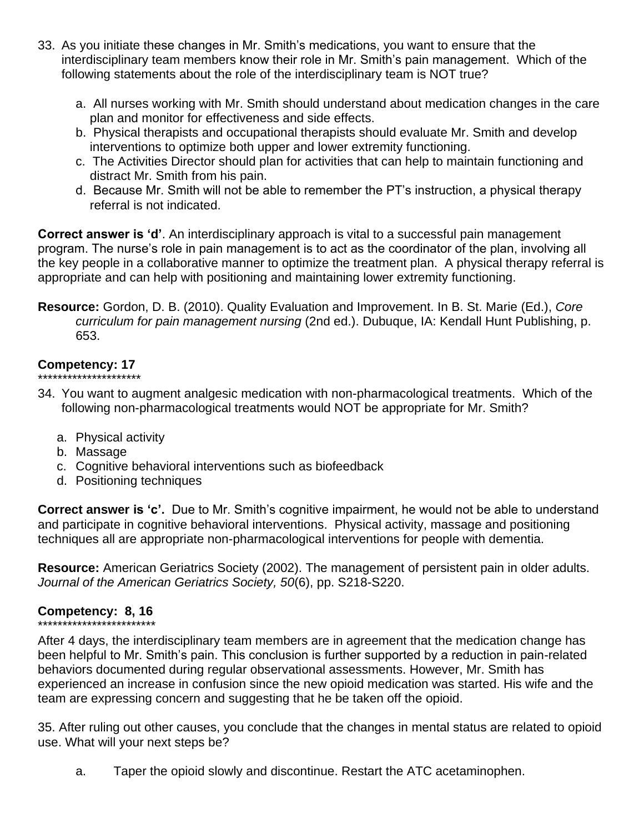- 33. As you initiate these changes in Mr. Smith's medications, you want to ensure that the interdisciplinary team members know their role in Mr. Smith's pain management. Which of the following statements about the role of the interdisciplinary team is NOT true?
	- a. All nurses working with Mr. Smith should understand about medication changes in the care plan and monitor for effectiveness and side effects.
	- b. Physical therapists and occupational therapists should evaluate Mr. Smith and develop interventions to optimize both upper and lower extremity functioning.
	- c. The Activities Director should plan for activities that can help to maintain functioning and distract Mr. Smith from his pain.
	- d. Because Mr. Smith will not be able to remember the PT's instruction, a physical therapy referral is not indicated.

**Correct answer is 'd'**. An interdisciplinary approach is vital to a successful pain management program. The nurse's role in pain management is to act as the coordinator of the plan, involving all the key people in a collaborative manner to optimize the treatment plan. A physical therapy referral is appropriate and can help with positioning and maintaining lower extremity functioning.

**Resource:** Gordon, D. B. (2010). Quality Evaluation and Improvement. In B. St. Marie (Ed.), *Core curriculum for pain management nursing* (2nd ed.). Dubuque, IA: Kendall Hunt Publishing, p. 653.

#### **Competency: 17** \*\*\*\*\*\*\*\*\*\*\*\*\*\*\*\*\*\*

- 34. You want to augment analgesic medication with non-pharmacological treatments. Which of the following non-pharmacological treatments would NOT be appropriate for Mr. Smith?
	- a. Physical activity
	- b. Massage
	- c. Cognitive behavioral interventions such as biofeedback
	- d. Positioning techniques

**Correct answer is 'c'.** Due to Mr. Smith's cognitive impairment, he would not be able to understand and participate in cognitive behavioral interventions. Physical activity, massage and positioning techniques all are appropriate non-pharmacological interventions for people with dementia.

**Resource:** American Geriatrics Society (2002). The management of persistent pain in older adults. *Journal of the American Geriatrics Society, 50*(6), pp. S218-S220.

# **Competency: 8, 16**

\*\*\*\*\*\*\*\*\*\*\*\*\*\*\*\*\*\*\*\*\*\*\*\*

After 4 days, the interdisciplinary team members are in agreement that the medication change has been helpful to Mr. Smith's pain. This conclusion is further supported by a reduction in pain-related behaviors documented during regular observational assessments. However, Mr. Smith has experienced an increase in confusion since the new opioid medication was started. His wife and the team are expressing concern and suggesting that he be taken off the opioid.

35. After ruling out other causes, you conclude that the changes in mental status are related to opioid use. What will your next steps be?

a. Taper the opioid slowly and discontinue. Restart the ATC acetaminophen.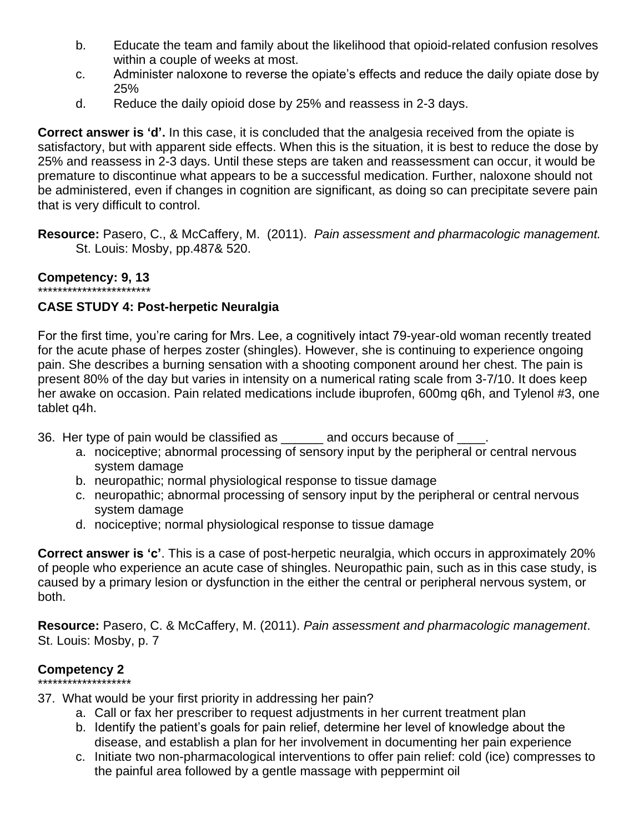- b. Educate the team and family about the likelihood that opioid-related confusion resolves within a couple of weeks at most.
- c. Administer naloxone to reverse the opiate's effects and reduce the daily opiate dose by 25%
- d. Reduce the daily opioid dose by 25% and reassess in 2-3 days.

**Correct answer is 'd'.** In this case, it is concluded that the analgesia received from the opiate is satisfactory, but with apparent side effects. When this is the situation, it is best to reduce the dose by 25% and reassess in 2-3 days. Until these steps are taken and reassessment can occur, it would be premature to discontinue what appears to be a successful medication. Further, naloxone should not be administered, even if changes in cognition are significant, as doing so can precipitate severe pain that is very difficult to control.

**Resource:** Pasero, C., & McCaffery, M. (2011). *Pain assessment and pharmacologic management.* St. Louis: Mosby, pp.487& 520.

#### **Competency: 9, 13**  \*\*\*\*\*\*\*\*\*\*\*\*\*\*\*\*\*\*\*\*\*\*\*

# **CASE STUDY 4: Post-herpetic Neuralgia**

For the first time, you're caring for Mrs. Lee, a cognitively intact 79-year-old woman recently treated for the acute phase of herpes zoster (shingles). However, she is continuing to experience ongoing pain. She describes a burning sensation with a shooting component around her chest. The pain is present 80% of the day but varies in intensity on a numerical rating scale from 3-7/10. It does keep her awake on occasion. Pain related medications include ibuprofen, 600mg q6h, and Tylenol #3, one tablet q4h.

- 36. Her type of pain would be classified as \_\_\_\_\_\_ and occurs because of \_\_\_\_.
	- a. nociceptive; abnormal processing of sensory input by the peripheral or central nervous system damage
	- b. neuropathic; normal physiological response to tissue damage
	- c. neuropathic; abnormal processing of sensory input by the peripheral or central nervous system damage
	- d. nociceptive; normal physiological response to tissue damage

**Correct answer is 'c'**. This is a case of post-herpetic neuralgia, which occurs in approximately 20% of people who experience an acute case of shingles. Neuropathic pain, such as in this case study, is caused by a primary lesion or dysfunction in the either the central or peripheral nervous system, or both.

**Resource:** Pasero, C. & McCaffery, M. (2011). *Pain assessment and pharmacologic management*. St. Louis: Mosby, p. 7

# **Competency 2**

# \*\*\*\*\*\*\*\*\*\*\*\*\*\*\*\*\*\*\*

- 37. What would be your first priority in addressing her pain?
	- a. Call or fax her prescriber to request adjustments in her current treatment plan
	- b. Identify the patient's goals for pain relief, determine her level of knowledge about the disease, and establish a plan for her involvement in documenting her pain experience
	- c. Initiate two non-pharmacological interventions to offer pain relief: cold (ice) compresses to the painful area followed by a gentle massage with peppermint oil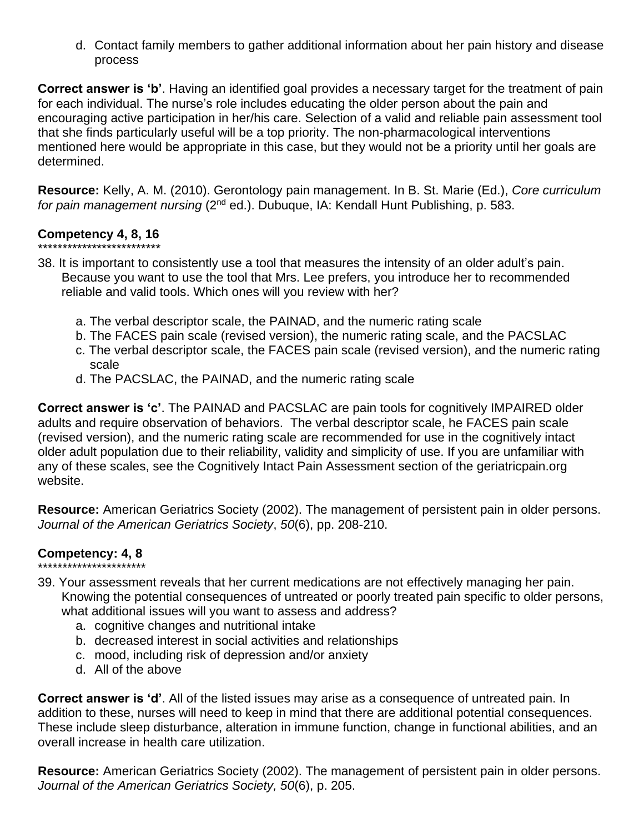d. Contact family members to gather additional information about her pain history and disease process

**Correct answer is 'b'**. Having an identified goal provides a necessary target for the treatment of pain for each individual. The nurse's role includes educating the older person about the pain and encouraging active participation in her/his care. Selection of a valid and reliable pain assessment tool that she finds particularly useful will be a top priority. The non-pharmacological interventions mentioned here would be appropriate in this case, but they would not be a priority until her goals are determined.

**Resource:** Kelly, A. M. (2010). Gerontology pain management. In B. St. Marie (Ed.), *Core curriculum for pain management nursing* (2nd ed.). Dubuque, IA: Kendall Hunt Publishing, p. 583.

# **Competency 4, 8, 16**

- \*\*\*\*\*\*\*\*\*\*\*\*\*\*\*\*\*\*\*\*\*\*\*\*\*
- 38. It is important to consistently use a tool that measures the intensity of an older adult's pain. Because you want to use the tool that Mrs. Lee prefers, you introduce her to recommended reliable and valid tools. Which ones will you review with her?
	- a. The verbal descriptor scale, the PAINAD, and the numeric rating scale
	- b. The FACES pain scale (revised version), the numeric rating scale, and the PACSLAC
	- c. The verbal descriptor scale, the FACES pain scale (revised version), and the numeric rating scale
	- d. The PACSLAC, the PAINAD, and the numeric rating scale

**Correct answer is 'c'**. The PAINAD and PACSLAC are pain tools for cognitively IMPAIRED older adults and require observation of behaviors. The verbal descriptor scale, he FACES pain scale (revised version), and the numeric rating scale are recommended for use in the cognitively intact older adult population due to their reliability, validity and simplicity of use. If you are unfamiliar with any of these scales, see the Cognitively Intact Pain Assessment section of the geriatricpain.org website.

**Resource:** American Geriatrics Society (2002). The management of persistent pain in older persons. *Journal of the American Geriatrics Society*, *50*(6), pp. 208-210.

### **Competency: 4, 8** \*\*\*\*\*\*\*\*\*\*\*\*\*\*\*\*\*\*\*\*\*\*

- 39. Your assessment reveals that her current medications are not effectively managing her pain. Knowing the potential consequences of untreated or poorly treated pain specific to older persons, what additional issues will you want to assess and address?
	- a. cognitive changes and nutritional intake
	- b. decreased interest in social activities and relationships
	- c. mood, including risk of depression and/or anxiety
	- d. All of the above

**Correct answer is 'd'**. All of the listed issues may arise as a consequence of untreated pain. In addition to these, nurses will need to keep in mind that there are additional potential consequences. These include sleep disturbance, alteration in immune function, change in functional abilities, and an overall increase in health care utilization.

**Resource:** American Geriatrics Society (2002). The management of persistent pain in older persons. *Journal of the American Geriatrics Society, 50*(6), p. 205.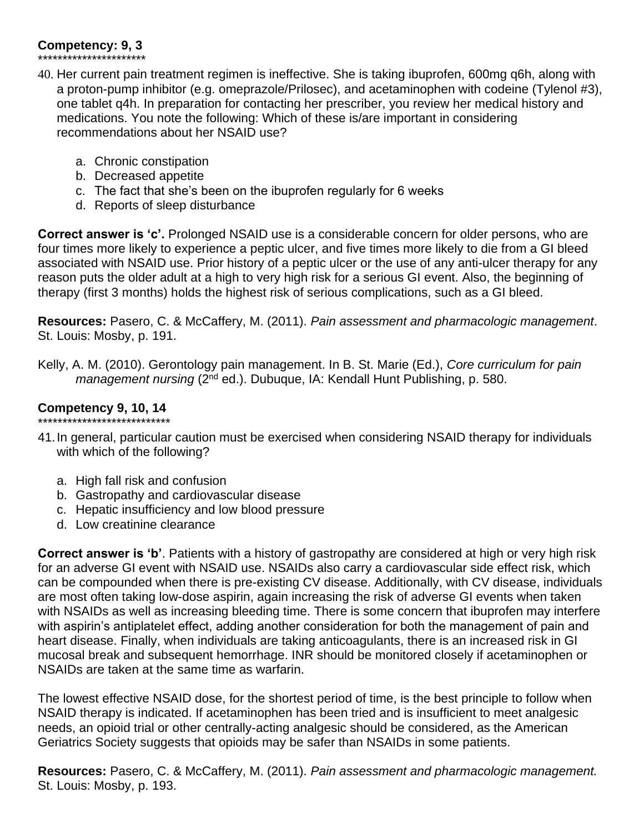# **Competency: 9, 3**

\*\*\*\*\*\*\*\*\*\*\*\*\*\*\*\*\*\*\*\*\*\*

- 40. Her current pain treatment regimen is ineffective. She is taking ibuprofen, 600mg q6h, along with a proton-pump inhibitor (e.g. omeprazole/Prilosec), and acetaminophen with codeine (Tylenol #3), one tablet q4h. In preparation for contacting her prescriber, you review her medical history and medications. You note the following: Which of these is/are important in considering recommendations about her NSAID use?
	- a. Chronic constipation
	- b. Decreased appetite
	- c. The fact that she's been on the ibuprofen regularly for 6 weeks
	- d. Reports of sleep disturbance

**Correct answer is 'c'.** Prolonged NSAID use is a considerable concern for older persons, who are four times more likely to experience a peptic ulcer, and five times more likely to die from a GI bleed associated with NSAID use. Prior history of a peptic ulcer or the use of any anti-ulcer therapy for any reason puts the older adult at a high to very high risk for a serious GI event. Also, the beginning of therapy (first 3 months) holds the highest risk of serious complications, such as a GI bleed.

**Resources:** Pasero, C. & McCaffery, M. (2011). *Pain assessment and pharmacologic management*. St. Louis: Mosby, p. 191.

Kelly, A. M. (2010). Gerontology pain management. In B. St. Marie (Ed.), *Core curriculum for pain management nursing* (2nd ed.). Dubuque, IA: Kendall Hunt Publishing, p. 580.

# **Competency 9, 10, 14**

- \*\*\*\*\*\*\*\*\*\*\*\*\*\*\*\*\*\*\*\*\*\*\*\*\*\*\* 41.In general, particular caution must be exercised when considering NSAID therapy for individuals with which of the following?
	- a. High fall risk and confusion
	- b. Gastropathy and cardiovascular disease
	- c. Hepatic insufficiency and low blood pressure
	- d. Low creatinine clearance

**Correct answer is 'b'**. Patients with a history of gastropathy are considered at high or very high risk for an adverse GI event with NSAID use. NSAIDs also carry a cardiovascular side effect risk, which can be compounded when there is pre-existing CV disease. Additionally, with CV disease, individuals are most often taking low-dose aspirin, again increasing the risk of adverse GI events when taken with NSAIDs as well as increasing bleeding time. There is some concern that ibuprofen may interfere with aspirin's antiplatelet effect, adding another consideration for both the management of pain and heart disease. Finally, when individuals are taking anticoagulants, there is an increased risk in GI mucosal break and subsequent hemorrhage. INR should be monitored closely if acetaminophen or NSAIDs are taken at the same time as warfarin.

The lowest effective NSAID dose, for the shortest period of time, is the best principle to follow when NSAID therapy is indicated. If acetaminophen has been tried and is insufficient to meet analgesic needs, an opioid trial or other centrally-acting analgesic should be considered, as the American Geriatrics Society suggests that opioids may be safer than NSAIDs in some patients.

**Resources:** Pasero, C. & McCaffery, M. (2011). *Pain assessment and pharmacologic management.* St. Louis: Mosby, p. 193.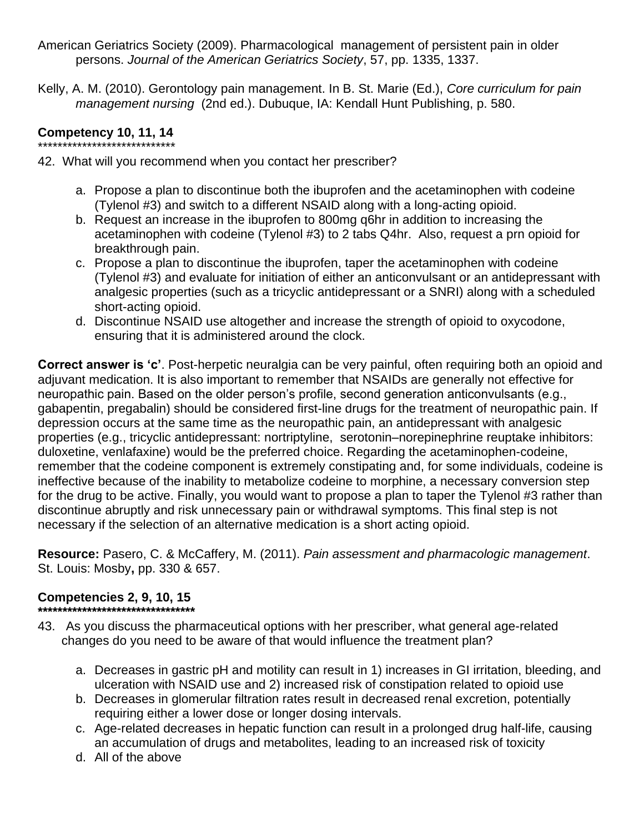- American Geriatrics Society (2009). Pharmacological management of persistent pain in older persons. *Journal of the American Geriatrics Society*, 57, pp. 1335, 1337.
- Kelly, A. M. (2010). Gerontology pain management. In B. St. Marie (Ed.), *Core curriculum for pain management nursing* (2nd ed.). Dubuque, IA: Kendall Hunt Publishing, p. 580.

# **Competency 10, 11, 14**

\*\*\*\*\*\*\*\*\*\*\*\*\*\*\*\*\*\*\*\*\*\*\*\*\*\*\*\* 42. What will you recommend when you contact her prescriber?

- a. Propose a plan to discontinue both the ibuprofen and the acetaminophen with codeine (Tylenol #3) and switch to a different NSAID along with a long-acting opioid.
- b. Request an increase in the ibuprofen to 800mg q6hr in addition to increasing the acetaminophen with codeine (Tylenol #3) to 2 tabs Q4hr. Also, request a prn opioid for breakthrough pain.
- c. Propose a plan to discontinue the ibuprofen, taper the acetaminophen with codeine (Tylenol #3) and evaluate for initiation of either an anticonvulsant or an antidepressant with analgesic properties (such as a tricyclic antidepressant or a SNRI) along with a scheduled short-acting opioid.
- d. Discontinue NSAID use altogether and increase the strength of opioid to oxycodone, ensuring that it is administered around the clock.

**Correct answer is 'c'**. Post-herpetic neuralgia can be very painful, often requiring both an opioid and adjuvant medication. It is also important to remember that NSAIDs are generally not effective for neuropathic pain. Based on the older person's profile, second generation anticonvulsants (e.g., gabapentin, pregabalin) should be considered first-line drugs for the treatment of neuropathic pain. If depression occurs at the same time as the neuropathic pain, an antidepressant with analgesic properties (e.g., tricyclic antidepressant: nortriptyline, serotonin–norepinephrine reuptake inhibitors: duloxetine, venlafaxine) would be the preferred choice. Regarding the acetaminophen-codeine, remember that the codeine component is extremely constipating and, for some individuals, codeine is ineffective because of the inability to metabolize codeine to morphine, a necessary conversion step for the drug to be active. Finally, you would want to propose a plan to taper the Tylenol #3 rather than discontinue abruptly and risk unnecessary pain or withdrawal symptoms. This final step is not necessary if the selection of an alternative medication is a short acting opioid.

**Resource:** Pasero, C. & McCaffery, M. (2011). *Pain assessment and pharmacologic management*. St. Louis: Mosby**,** pp. 330 & 657.

# **Competencies 2, 9, 10, 15**

- **\*\*\*\*\*\*\*\*\*\*\*\*\*\*\*\*\*\*\*\*\*\*\*\*\*\*\*\*\*\*\*\*** 43. As you discuss the pharmaceutical options with her prescriber, what general age-related changes do you need to be aware of that would influence the treatment plan?
	- a. Decreases in gastric pH and motility can result in 1) increases in GI irritation, bleeding, and
		- ulceration with NSAID use and 2) increased risk of constipation related to opioid use b. Decreases in glomerular filtration rates result in decreased renal excretion, potentially requiring either a lower dose or longer dosing intervals.
		- c. Age-related decreases in hepatic function can result in a prolonged drug half-life, causing an accumulation of drugs and metabolites, leading to an increased risk of toxicity
		- d. All of the above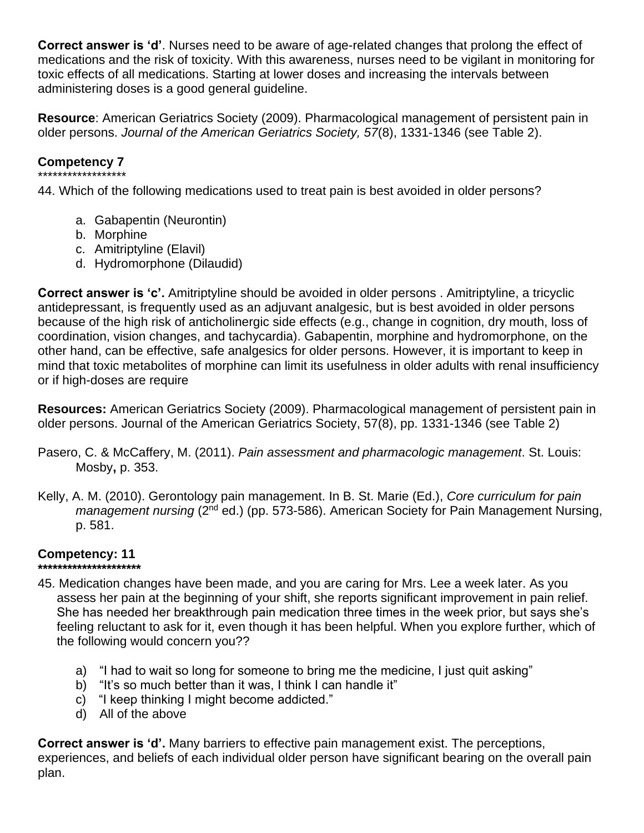**Correct answer is 'd'**. Nurses need to be aware of age-related changes that prolong the effect of medications and the risk of toxicity. With this awareness, nurses need to be vigilant in monitoring for toxic effects of all medications. Starting at lower doses and increasing the intervals between administering doses is a good general guideline.

**Resource**: American Geriatrics Society (2009). Pharmacological management of persistent pain in older persons. *Journal of the American Geriatrics Society, 57*(8), 1331-1346 (see Table 2).

# **Competency 7**

\*\*\*\*\*\*\*\*\*\*\*\*\*\*\*\*\*\* 44. Which of the following medications used to treat pain is best avoided in older persons?

- a. Gabapentin (Neurontin)
- b. Morphine
- c. Amitriptyline (Elavil)
- d. Hydromorphone (Dilaudid)

**Correct answer is 'c'.** Amitriptyline should be avoided in older persons . Amitriptyline, a tricyclic antidepressant, is frequently used as an adjuvant analgesic, but is best avoided in older persons because of the high risk of anticholinergic side effects (e.g., change in cognition, dry mouth, loss of coordination, vision changes, and tachycardia). Gabapentin, morphine and hydromorphone, on the other hand, can be effective, safe analgesics for older persons. However, it is important to keep in mind that toxic metabolites of morphine can limit its usefulness in older adults with renal insufficiency or if high-doses are require

**Resources:** American Geriatrics Society (2009). Pharmacological management of persistent pain in older persons. Journal of the American Geriatrics Society, 57(8), pp. 1331-1346 (see Table 2)

- Pasero, C. & McCaffery, M. (2011). *Pain assessment and pharmacologic management*. St. Louis: Mosby**,** p. 353.
- Kelly, A. M. (2010). Gerontology pain management. In B. St. Marie (Ed.), *Core curriculum for pain management nursing* (2<sup>nd</sup> ed.) (pp. 573-586). American Society for Pain Management Nursing, p. 581.

#### **Competency: 11 \*\*\*\*\*\*\*\*\*\*\*\*\*\*\*\*\*\*\*\*\***

- 45. Medication changes have been made, and you are caring for Mrs. Lee a week later. As you assess her pain at the beginning of your shift, she reports significant improvement in pain relief. She has needed her breakthrough pain medication three times in the week prior, but says she's feeling reluctant to ask for it, even though it has been helpful. When you explore further, which of the following would concern you??
	- a) "I had to wait so long for someone to bring me the medicine, I just quit asking"
	- b) "It's so much better than it was, I think I can handle it"
	- c) "I keep thinking I might become addicted."
	- d) All of the above

**Correct answer is 'd'.** Many barriers to effective pain management exist. The perceptions, experiences, and beliefs of each individual older person have significant bearing on the overall pain plan.